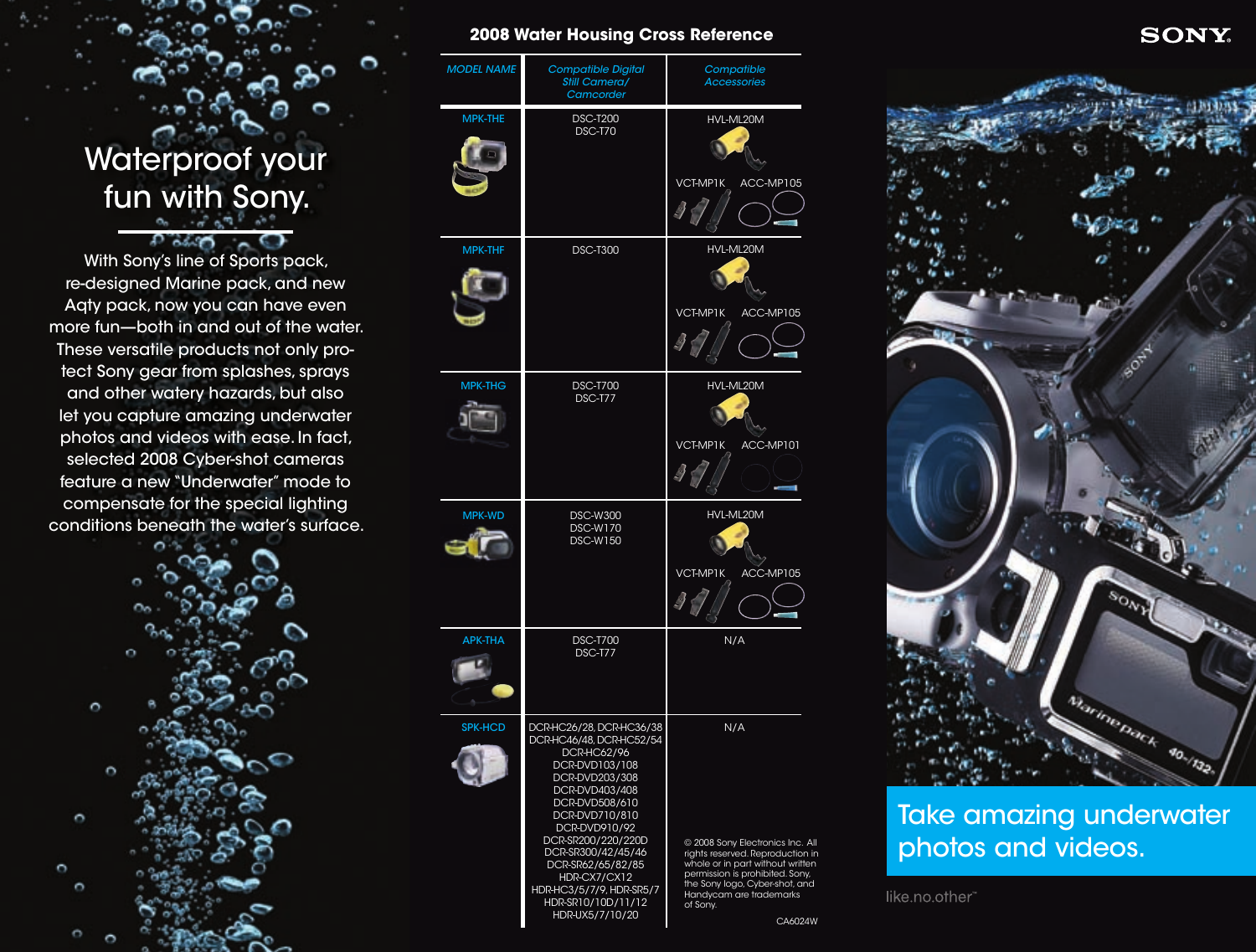# Waterproof your fun with Sony. ுள்ள வ

With Sony's line of Sports pack, re-designed Marine pack, and new Aqty pack, now you can have even more fun—both in and out of the water. These versatile products not only protect Sony gear from splashes, sprays and other watery hazards, but also let you capture amazing underwater photos and videos with ease. In fact, selected 2008 Cyber-shot cameras feature a new "Underwater" mode to compensate for the special lighting conditions beneath the water's surface.



### **2008 Water Housing Cross Reference**

| <b>MODEL NAME</b> | <b>Compatible Digital</b><br><b>Still Camera/</b><br>Camcorder                                                                                                                                                                                                                                                                       | Compatible<br><b>Accessories</b>                                                                                                                                                                                                       |
|-------------------|--------------------------------------------------------------------------------------------------------------------------------------------------------------------------------------------------------------------------------------------------------------------------------------------------------------------------------------|----------------------------------------------------------------------------------------------------------------------------------------------------------------------------------------------------------------------------------------|
| <b>MPK-THE</b>    | <b>DSC-T200</b><br>DSC-T70                                                                                                                                                                                                                                                                                                           | HVL-ML20M<br><b>VCT-MP1K</b><br>ACC-MP105                                                                                                                                                                                              |
| <b>MPK-THF</b>    | <b>DSC-T300</b>                                                                                                                                                                                                                                                                                                                      | HVL-ML20M<br><b>VCT-MP1K</b><br>ACC-MP105                                                                                                                                                                                              |
| <b>MPK-THG</b>    | <b>DSC-T700</b><br><b>DSC-T77</b>                                                                                                                                                                                                                                                                                                    | HVL-ML20M<br><b>VCT-MP1K</b><br>ACC-MP101                                                                                                                                                                                              |
| <b>MPK-WD</b>     | <b>DSC-W300</b><br><b>DSC-W170</b><br><b>DSC-W150</b>                                                                                                                                                                                                                                                                                | HVL-ML20M<br>VCT-MP1K<br>ACC-MP105                                                                                                                                                                                                     |
| <b>APK-THA</b>    | <b>DSC-T700</b><br>DSC-T77                                                                                                                                                                                                                                                                                                           | N/A                                                                                                                                                                                                                                    |
| <b>SPK-HCD</b>    | DCR-HC26/28, DCR-HC36/38<br>DCR-HC46/48, DCR-HC52/54<br>DCR-HC62/96<br>DCR-DVD103/108<br>DCR-DVD203/308<br>DCR-DVD403/408<br>DCR-DVD508/610<br>DCR-DVD710/810<br>DCR-DVD910/92<br>DCR-SR200/220/220D<br>DCR-SR300/42/45/46<br>DCR-SR62/65/82/85<br>HDR-CX7/CX12<br>HDR-HC3/5/7/9, HDR-SR5/7<br>HDR-SR10/10D/11/12<br>HDR-UX5/7/10/20 | N/A<br>@ 2008 Sony Electronics Inc. All<br>rights reserved. Reproduction in<br>whole or in part without written<br>permission is prohibited. Sony,<br>the Sony logo, Cyber-shot, and<br>Handycam are trademarks<br>of Sony.<br>CA6024W |

## **SONY.**



## Take amazing underwater photos and videos.

like.no.other